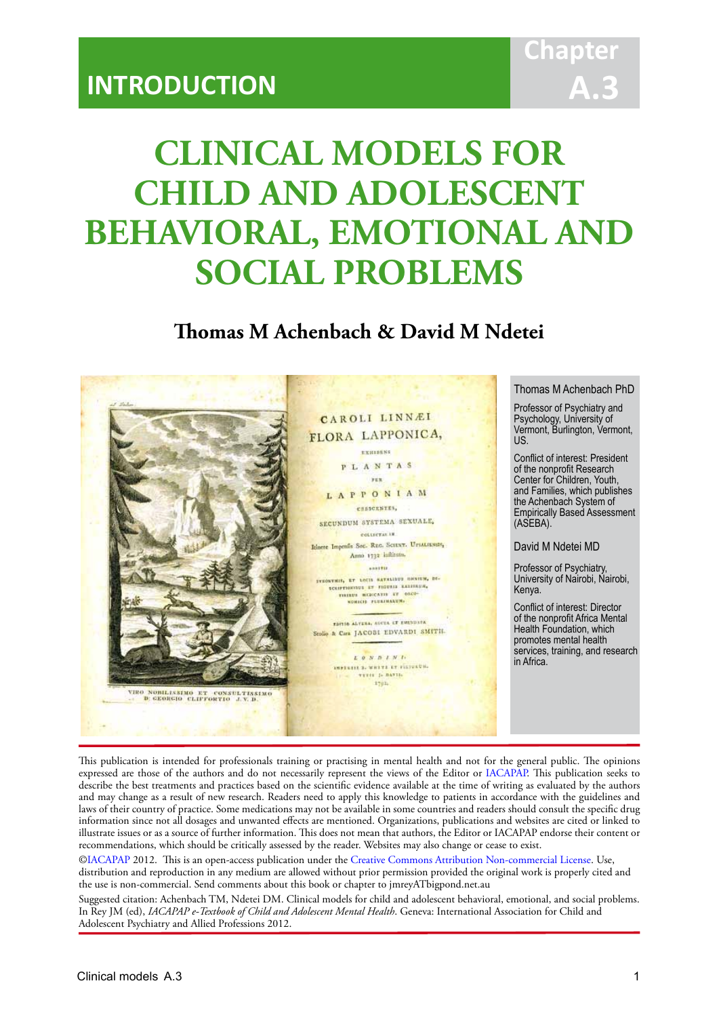## **Chapter A.3**

# **CLINICAL MODELS FOR CHILD AND ADOLESCENT BEHAVIORAL, EMOTIONAL AND SOCIAL PROBLEMS**

IACAPAP Textbook of Child and Adolescent Mental Health

## **Thomas M Achenbach & David M Ndetei**



This publication is intended for professionals training or practising in mental health and not for the general public. The opinions expressed are those of the authors and do not necessarily represent the views of the Editor or IACAPAP. This publication seeks to describe the best treatments and practices based on the scientific evidence available at the time of writing as evaluated by the authors and may change as a result of new research. Readers need to apply this knowledge to patients in accordance with the guidelines and laws of their country of practice. Some medications may not be available in some countries and readers should consult the specific drug information since not all dosages and unwanted effects are mentioned. Organizations, publications and websites are cited or linked to illustrate issues or as a source of further information. This does not mean that authors, the Editor or IACAPAP endorse their content or recommendations, which should be critically assessed by the reader. Websites may also change or cease to exist.

[©IACAPAP](http://iacapap.org) 2012. This is an open-access publication under the [Creative Commons Attribution Non-commercial License](http://creativecommons.org). Use, distribution and reproduction in any medium are allowed without prior permission provided the original work is properly cited and the use is non-commercial. Send comments about this book or chapter to jmreyATbigpond.net.au

Suggested citation: Achenbach TM, Ndetei DM. Clinical models for child and adolescent behavioral, emotional, and social problems. In Rey JM (ed), *IACAPAP e-Textbook of Child and Adolescent Mental Health*. Geneva: International Association for Child and Adolescent Psychiatry and Allied Professions 2012.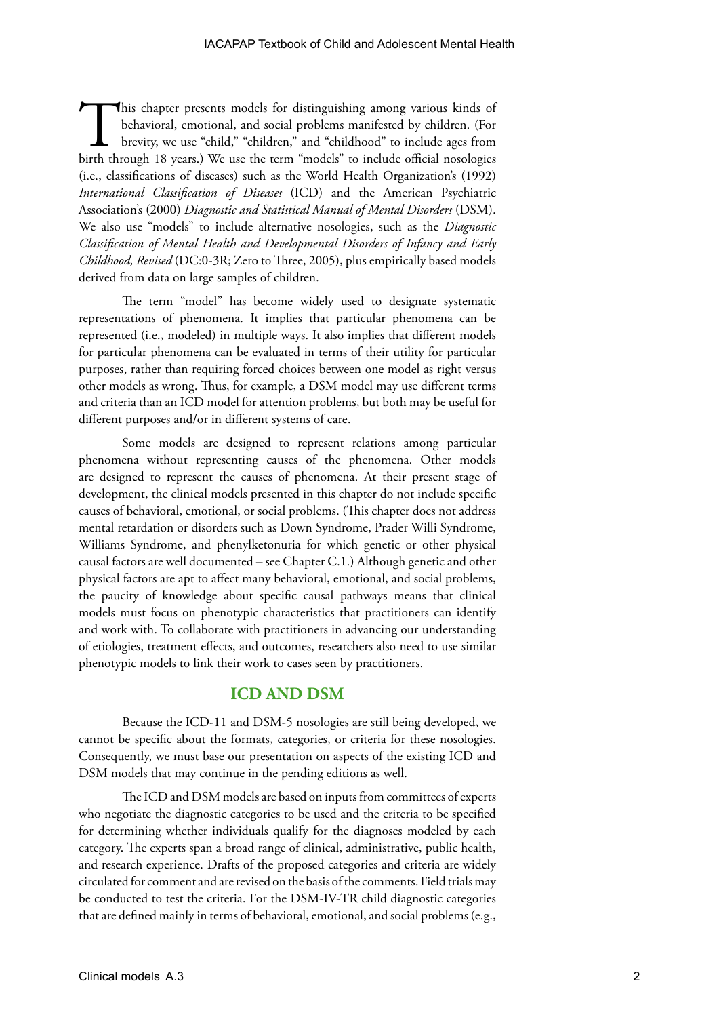This chapter presents models for distinguishing among various kinds of behavioral, emotional, and social problems manifested by children. (For brevity, we use "child," "children," and "childhood" to include ages from birth through 18 years.) We use the term "models" to include official nosologies (i.e., classifications of diseases) such as the World Health Organization's (1992) *International Classification of Diseases* (ICD) and the American Psychiatric Association's (2000) *Diagnostic and Statistical Manual of Mental Disorders* (DSM). We also use "models" to include alternative nosologies, such as the *Diagnostic Classification of Mental Health and Developmental Disorders of Infancy and Early Childhood, Revised* (DC:0-3R; Zero to Three, 2005), plus empirically based models derived from data on large samples of children.

The term "model" has become widely used to designate systematic representations of phenomena. It implies that particular phenomena can be represented (i.e., modeled) in multiple ways. It also implies that different models for particular phenomena can be evaluated in terms of their utility for particular purposes, rather than requiring forced choices between one model as right versus other models as wrong. Thus, for example, a DSM model may use different terms and criteria than an ICD model for attention problems, but both may be useful for different purposes and/or in different systems of care.

Some models are designed to represent relations among particular phenomena without representing causes of the phenomena. Other models are designed to represent the causes of phenomena. At their present stage of development, the clinical models presented in this chapter do not include specific causes of behavioral, emotional, or social problems. (This chapter does not address mental retardation or disorders such as Down Syndrome, Prader Willi Syndrome, Williams Syndrome, and phenylketonuria for which genetic or other physical causal factors are well documented – see Chapter C.1.) Although genetic and other physical factors are apt to affect many behavioral, emotional, and social problems, the paucity of knowledge about specific causal pathways means that clinical models must focus on phenotypic characteristics that practitioners can identify and work with. To collaborate with practitioners in advancing our understanding of etiologies, treatment effects, and outcomes, researchers also need to use similar phenotypic models to link their work to cases seen by practitioners.

### **ICD AND DSM**

Because the ICD-11 and DSM-5 nosologies are still being developed, we cannot be specific about the formats, categories, or criteria for these nosologies. Consequently, we must base our presentation on aspects of the existing ICD and DSM models that may continue in the pending editions as well.

The ICD and DSM models are based on inputs from committees of experts who negotiate the diagnostic categories to be used and the criteria to be specified for determining whether individuals qualify for the diagnoses modeled by each category. The experts span a broad range of clinical, administrative, public health, and research experience. Drafts of the proposed categories and criteria are widely circulated for comment and are revised on the basis of the comments. Field trials may be conducted to test the criteria. For the DSM-IV-TR child diagnostic categories that are defined mainly in terms of behavioral, emotional, and social problems (e.g.,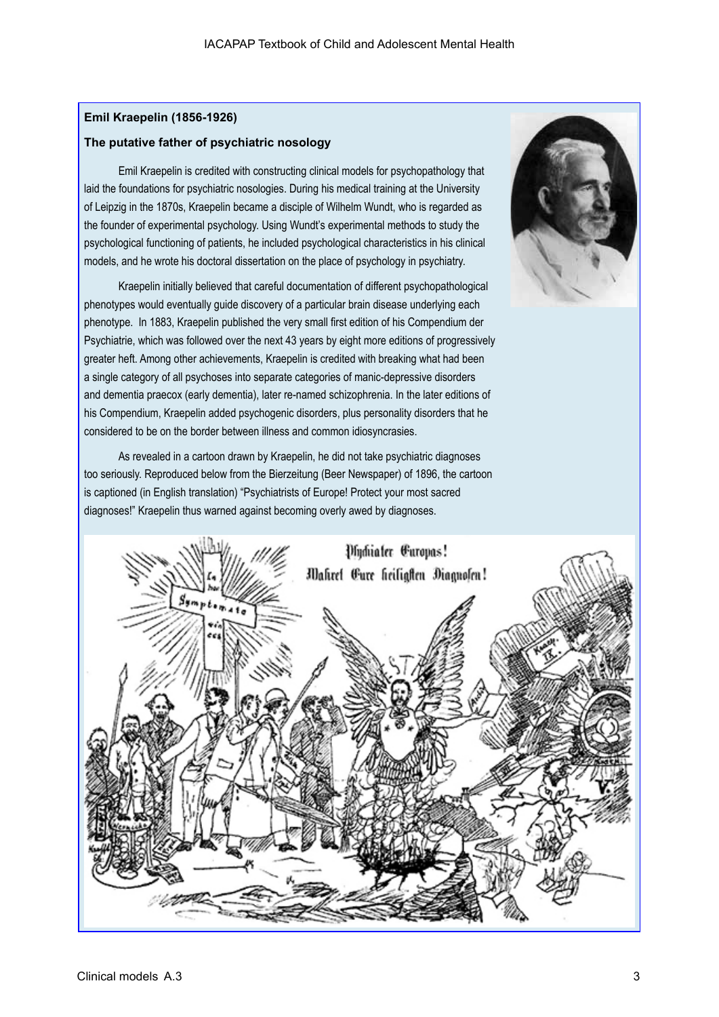#### **Emil Kraepelin (1856-1926)**

#### **The putative father of psychiatric nosology**

Emil Kraepelin is credited with constructing clinical models for psychopathology that laid the foundations for psychiatric nosologies. During his medical training at the University of Leipzig in the 1870s, Kraepelin became a disciple of Wilhelm Wundt, who is regarded as the founder of experimental psychology. Using Wundt's experimental methods to study the psychological functioning of patients, he included psychological characteristics in his clinical models, and he wrote his doctoral dissertation on the place of psychology in psychiatry.

Kraepelin initially believed that careful documentation of different psychopathological phenotypes would eventually guide discovery of a particular brain disease underlying each phenotype. In 1883, Kraepelin published the very small first edition of his Compendium der Psychiatrie, which was followed over the next 43 years by eight more editions of progressively greater heft. Among other achievements, Kraepelin is credited with breaking what had been a single category of all psychoses into separate categories of manic-depressive disorders and dementia praecox (early dementia), later re-named schizophrenia. In the later editions of his Compendium, Kraepelin added psychogenic disorders, plus personality disorders that he considered to be on the border between illness and common idiosyncrasies.

As revealed in a cartoon drawn by Kraepelin, he did not take psychiatric diagnoses too seriously. Reproduced below from the Bierzeitung (Beer Newspaper) of 1896, the cartoon is captioned (in English translation) "Psychiatrists of Europe! Protect your most sacred diagnoses!" Kraepelin thus warned against becoming overly awed by diagnoses.



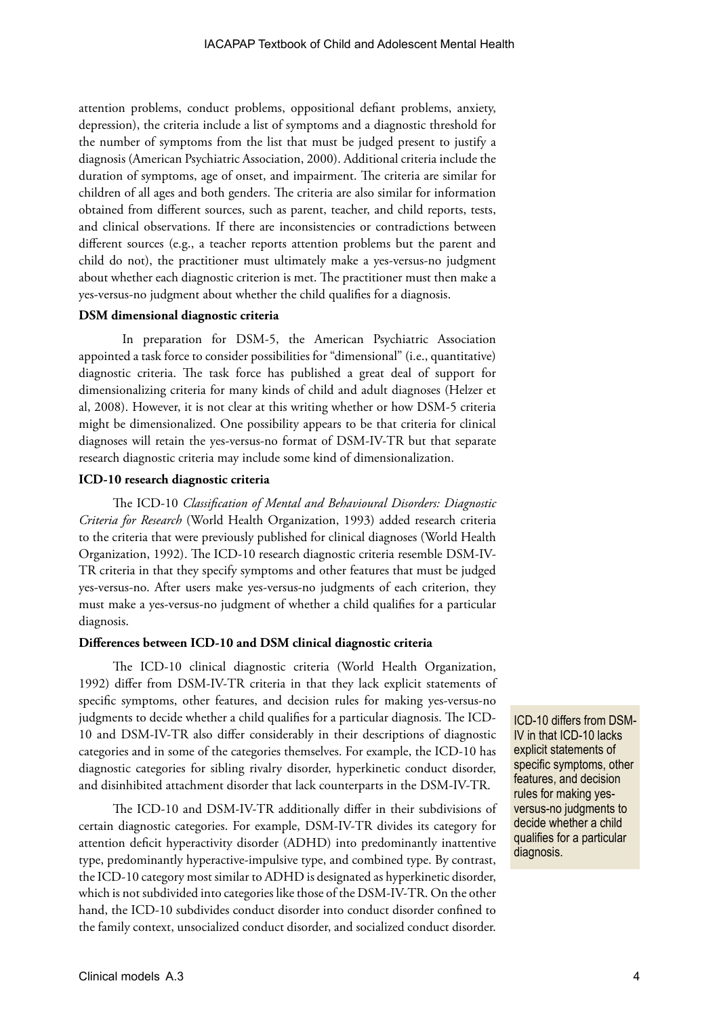attention problems, conduct problems, oppositional defiant problems, anxiety, depression), the criteria include a list of symptoms and a diagnostic threshold for the number of symptoms from the list that must be judged present to justify a diagnosis (American Psychiatric Association, 2000). Additional criteria include the duration of symptoms, age of onset, and impairment. The criteria are similar for children of all ages and both genders. The criteria are also similar for information obtained from different sources, such as parent, teacher, and child reports, tests, and clinical observations. If there are inconsistencies or contradictions between different sources (e.g., a teacher reports attention problems but the parent and child do not), the practitioner must ultimately make a yes-versus-no judgment about whether each diagnostic criterion is met. The practitioner must then make a yes-versus-no judgment about whether the child qualifies for a diagnosis.

#### **DSM dimensional diagnostic criteria**

In preparation for DSM-5, the American Psychiatric Association appointed a task force to consider possibilities for "dimensional" (i.e., quantitative) diagnostic criteria. The task force has published a great deal of support for dimensionalizing criteria for many kinds of child and adult diagnoses (Helzer et al, 2008). However, it is not clear at this writing whether or how DSM-5 criteria might be dimensionalized. One possibility appears to be that criteria for clinical diagnoses will retain the yes-versus-no format of DSM-IV-TR but that separate research diagnostic criteria may include some kind of dimensionalization.

#### **ICD-10 research diagnostic criteria**

The ICD-10 *Classification of Mental and Behavioural Disorders: Diagnostic Criteria for Research* (World Health Organization, 1993) added research criteria to the criteria that were previously published for clinical diagnoses (World Health Organization, 1992). The ICD-10 research diagnostic criteria resemble DSM-IV-TR criteria in that they specify symptoms and other features that must be judged yes-versus-no. After users make yes-versus-no judgments of each criterion, they must make a yes-versus-no judgment of whether a child qualifies for a particular diagnosis.

#### **Differences between ICD-10 and DSM clinical diagnostic criteria**

The ICD-10 clinical diagnostic criteria (World Health Organization, 1992) differ from DSM-IV-TR criteria in that they lack explicit statements of specific symptoms, other features, and decision rules for making yes-versus-no judgments to decide whether a child qualifies for a particular diagnosis. The ICD-10 and DSM-IV-TR also differ considerably in their descriptions of diagnostic categories and in some of the categories themselves. For example, the ICD-10 has diagnostic categories for sibling rivalry disorder, hyperkinetic conduct disorder, and disinhibited attachment disorder that lack counterparts in the DSM-IV-TR.

The ICD-10 and DSM-IV-TR additionally differ in their subdivisions of certain diagnostic categories. For example, DSM-IV-TR divides its category for attention deficit hyperactivity disorder (ADHD) into predominantly inattentive type, predominantly hyperactive-impulsive type, and combined type. By contrast, the ICD-10 category most similar to ADHD is designated as hyperkinetic disorder, which is not subdivided into categories like those of the DSM-IV-TR. On the other hand, the ICD-10 subdivides conduct disorder into conduct disorder confined to the family context, unsocialized conduct disorder, and socialized conduct disorder.

ICD-10 differs from DSM-IV in that ICD-10 lacks explicit statements of specific symptoms, other features, and decision rules for making yesversus-no judgments to decide whether a child qualifies for a particular diagnosis.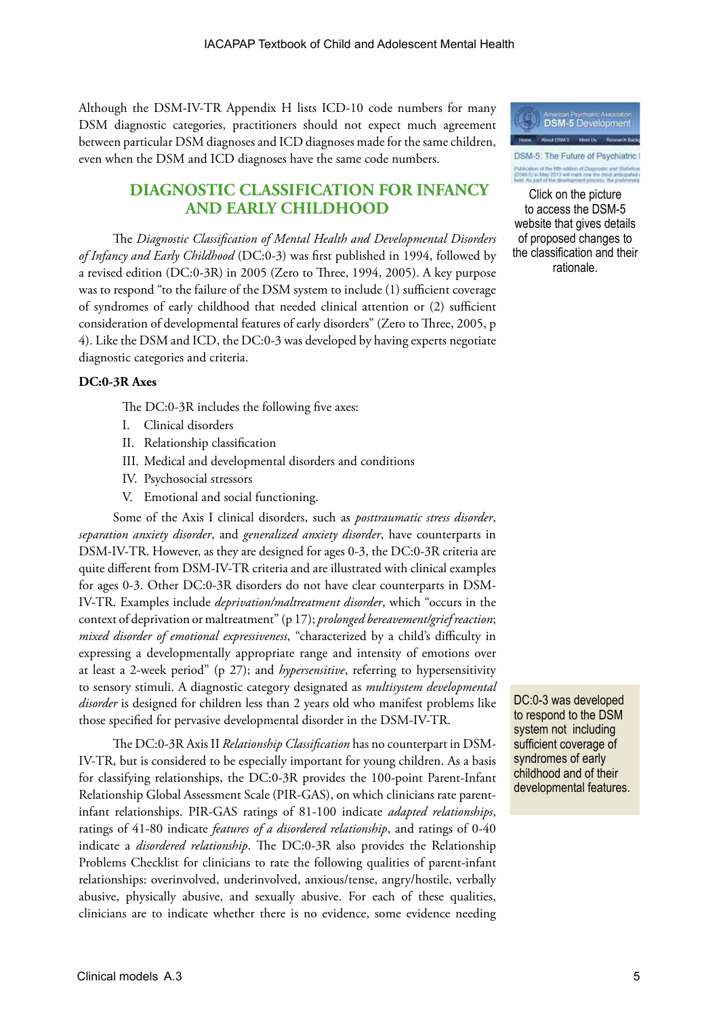Although the DSM-IV-TR Appendix H lists ICD-10 code numbers for many DSM diagnostic categories, practitioners should not expect much agreement between particular DSM diagnoses and ICD diagnoses made for the same children, even when the DSM and ICD diagnoses have the same code numbers.

## **DIAGNOSTIC CLASSIFICATION FOR INFANCY AND EARLY CHILDHOOD**

The *Diagnostic Classification of Mental Health and Developmental Disorders of Infancy and Early Childhood* (DC:0-3) was first published in 1994, followed by a revised edition (DC:0-3R) in 2005 (Zero to Three, 1994, 2005). A key purpose was to respond "to the failure of the DSM system to include (1) sufficient coverage of syndromes of early childhood that needed clinical attention or (2) sufficient consideration of developmental features of early disorders" (Zero to Three, 2005, p 4). Like the DSM and ICD, the DC:0-3 was developed by having experts negotiate diagnostic categories and criteria.

#### **DC:0-3R Axes**

The DC:0-3R includes the following five axes:

- I. Clinical disorders
- II. Relationship classification
- III. Medical and developmental disorders and conditions
- IV. Psychosocial stressors
- V. Emotional and social functioning.

Some of the Axis I clinical disorders, such as *posttraumatic stress disorder*, *separation anxiety disorder*, and *generalized anxiety disorder*, have counterparts in DSM-IV-TR. However, as they are designed for ages 0-3, the DC:0-3R criteria are quite different from DSM-IV-TR criteria and are illustrated with clinical examples for ages 0-3. Other DC:0-3R disorders do not have clear counterparts in DSM-IV-TR. Examples include *deprivation/maltreatment disorder*, which "occurs in the context of deprivation or maltreatment" (p 17); *prolonged bereavement/grief reaction*; *mixed disorder of emotional expressiveness*, "characterized by a child's difficulty in expressing a developmentally appropriate range and intensity of emotions over at least a 2-week period" (p 27); and *hypersensitive*, referring to hypersensitivity to sensory stimuli. A diagnostic category designated as *multisystem developmental disorder* is designed for children less than 2 years old who manifest problems like those specified for pervasive developmental disorder in the DSM-IV-TR.

The DC:0-3R Axis II *Relationship Classification* has no counterpart in DSM-IV-TR, but is considered to be especially important for young children. As a basis for classifying relationships, the DC:0-3R provides the 100-point Parent-Infant Relationship Global Assessment Scale (PIR-GAS), on which clinicians rate parentinfant relationships. PIR-GAS ratings of 81-100 indicate *adapted relationships*, ratings of 41-80 indicate *features of a disordered relationship*, and ratings of 0-40 indicate a *disordered relationship*. The DC:0-3R also provides the Relationship Problems Checklist for clinicians to rate the following qualities of parent-infant relationships: overinvolved, underinvolved, anxious/tense, angry/hostile, verbally abusive, physically abusive, and sexually abusive. For each of these qualities, clinicians are to indicate whether there is no evidence, some evidence needing



DSM-5: The Future of Psychiatric I .<br>Alicatori of the fifth edition of Diagnostic<br>SM-5) in May 2013 will mark one the m

Click on the picture to access the DSM-5 website that gives details of proposed changes to the classification and their rationale.

DC:0-3 was developed to respond to the DSM system not including sufficient coverage of syndromes of early childhood and of their developmental features.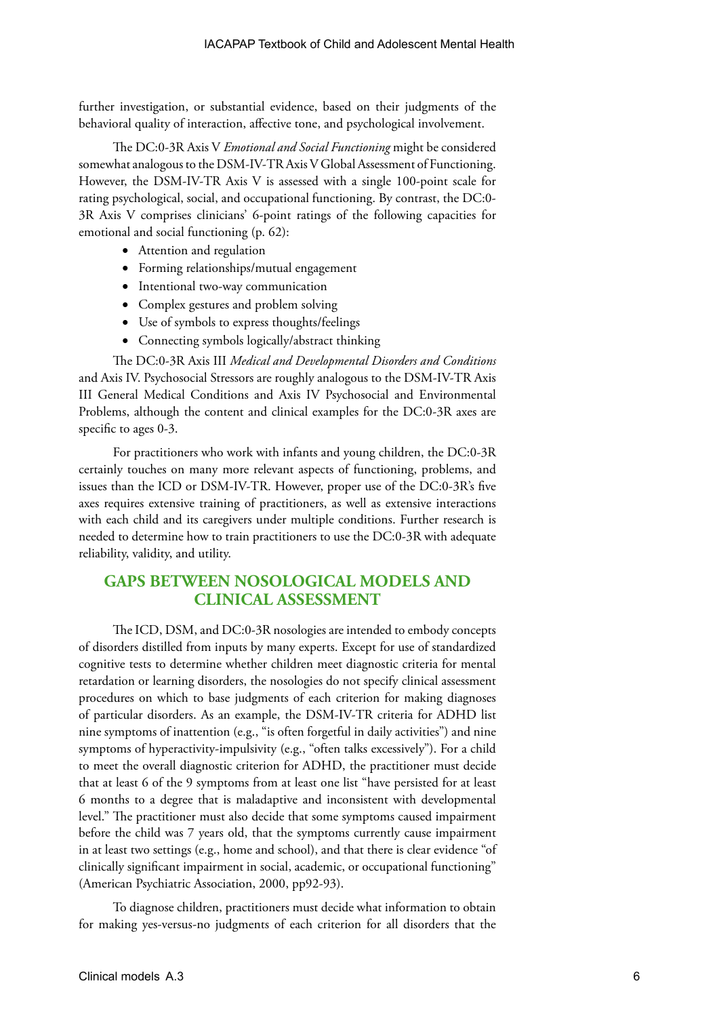further investigation, or substantial evidence, based on their judgments of the behavioral quality of interaction, affective tone, and psychological involvement.

The DC:0-3R Axis V *Emotional and Social Functioning* might be considered somewhat analogous to the DSM-IV-TR Axis V Global Assessment of Functioning. However, the DSM-IV-TR Axis V is assessed with a single 100-point scale for rating psychological, social, and occupational functioning. By contrast, the DC:0- 3R Axis V comprises clinicians' 6-point ratings of the following capacities for emotional and social functioning (p. 62):

- Attention and regulation
- • Forming relationships/mutual engagement
- Intentional two-way communication
- • Complex gestures and problem solving
- • Use of symbols to express thoughts/feelings
- Connecting symbols logically/abstract thinking

The DC:0-3R Axis III *Medical and Developmental Disorders and Conditions* and Axis IV. Psychosocial Stressors are roughly analogous to the DSM-IV-TR Axis III General Medical Conditions and Axis IV Psychosocial and Environmental Problems, although the content and clinical examples for the DC:0-3R axes are specific to ages 0-3.

For practitioners who work with infants and young children, the DC:0-3R certainly touches on many more relevant aspects of functioning, problems, and issues than the ICD or DSM-IV-TR. However, proper use of the DC:0-3R's five axes requires extensive training of practitioners, as well as extensive interactions with each child and its caregivers under multiple conditions. Further research is needed to determine how to train practitioners to use the DC:0-3R with adequate reliability, validity, and utility.

## **GAPS BETWEEN NOSOLOGICAL MODELS AND CLINICAL ASSESSMENT**

The ICD, DSM, and DC:0-3R nosologies are intended to embody concepts of disorders distilled from inputs by many experts. Except for use of standardized cognitive tests to determine whether children meet diagnostic criteria for mental retardation or learning disorders, the nosologies do not specify clinical assessment procedures on which to base judgments of each criterion for making diagnoses of particular disorders. As an example, the DSM-IV-TR criteria for ADHD list nine symptoms of inattention (e.g., "is often forgetful in daily activities") and nine symptoms of hyperactivity-impulsivity (e.g., "often talks excessively"). For a child to meet the overall diagnostic criterion for ADHD, the practitioner must decide that at least 6 of the 9 symptoms from at least one list "have persisted for at least 6 months to a degree that is maladaptive and inconsistent with developmental level." The practitioner must also decide that some symptoms caused impairment before the child was 7 years old, that the symptoms currently cause impairment in at least two settings (e.g., home and school), and that there is clear evidence "of clinically significant impairment in social, academic, or occupational functioning" (American Psychiatric Association, 2000, pp92-93).

To diagnose children, practitioners must decide what information to obtain for making yes-versus-no judgments of each criterion for all disorders that the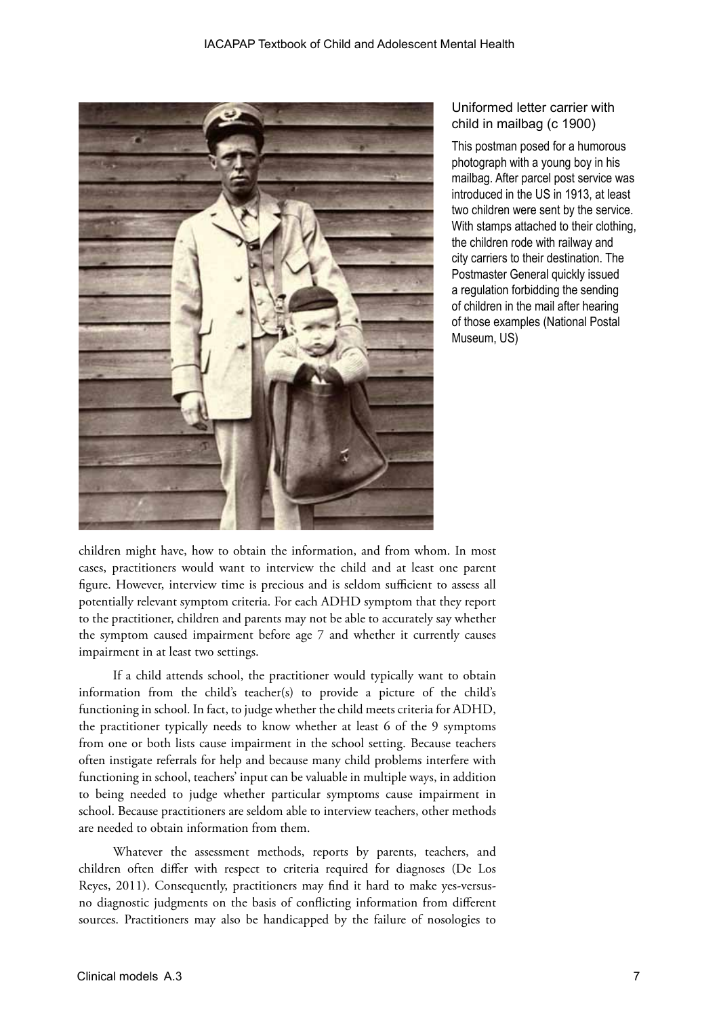

## Uniformed letter carrier with child in mailbag (c 1900)

This postman posed for a humorous photograph with a young boy in his mailbag. After parcel post service was introduced in the US in 1913, at least two children were sent by the service. With stamps attached to their clothing, the children rode with railway and city carriers to their destination. The Postmaster General quickly issued a regulation forbidding the sending of children in the mail after hearing of those examples (National Postal Museum, US)

children might have, how to obtain the information, and from whom. In most cases, practitioners would want to interview the child and at least one parent figure. However, interview time is precious and is seldom sufficient to assess all potentially relevant symptom criteria. For each ADHD symptom that they report to the practitioner, children and parents may not be able to accurately say whether the symptom caused impairment before age 7 and whether it currently causes impairment in at least two settings.

If a child attends school, the practitioner would typically want to obtain information from the child's teacher(s) to provide a picture of the child's functioning in school. In fact, to judge whether the child meets criteria for ADHD, the practitioner typically needs to know whether at least 6 of the 9 symptoms from one or both lists cause impairment in the school setting. Because teachers often instigate referrals for help and because many child problems interfere with functioning in school, teachers' input can be valuable in multiple ways, in addition to being needed to judge whether particular symptoms cause impairment in school. Because practitioners are seldom able to interview teachers, other methods are needed to obtain information from them.

Whatever the assessment methods, reports by parents, teachers, and children often differ with respect to criteria required for diagnoses (De Los Reyes, 2011). Consequently, practitioners may find it hard to make yes-versusno diagnostic judgments on the basis of conflicting information from different sources. Practitioners may also be handicapped by the failure of nosologies to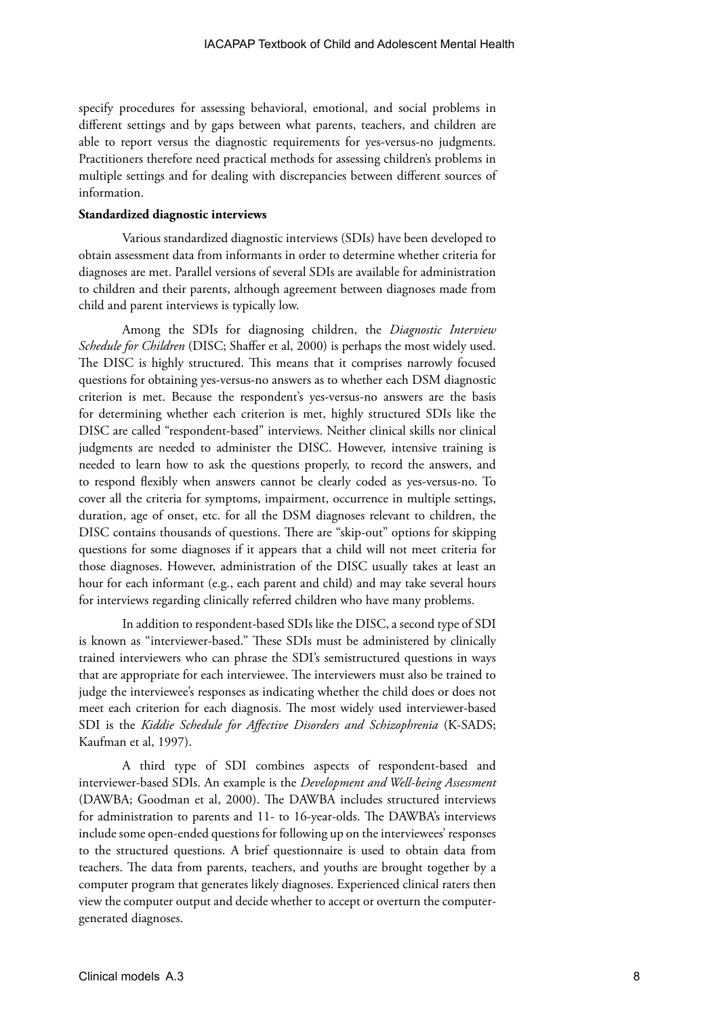specify procedures for assessing behavioral, emotional, and social problems in different settings and by gaps between what parents, teachers, and children are able to report versus the diagnostic requirements for yes-versus-no judgments. Practitioners therefore need practical methods for assessing children's problems in multiple settings and for dealing with discrepancies between different sources of information.

#### **Standardized diagnostic interviews**

Various standardized diagnostic interviews (SDIs) have been developed to obtain assessment data from informants in order to determine whether criteria for diagnoses are met. Parallel versions of several SDIs are available for administration to children and their parents, although agreement between diagnoses made from child and parent interviews is typically low.

Among the SDIs for diagnosing children, the *Diagnostic Interview Schedule for Children* (DISC; Shaffer et al, 2000) is perhaps the most widely used. The DISC is highly structured. This means that it comprises narrowly focused questions for obtaining yes-versus-no answers as to whether each DSM diagnostic criterion is met. Because the respondent's yes-versus-no answers are the basis for determining whether each criterion is met, highly structured SDIs like the DISC are called "respondent-based" interviews. Neither clinical skills nor clinical judgments are needed to administer the DISC. However, intensive training is needed to learn how to ask the questions properly, to record the answers, and to respond flexibly when answers cannot be clearly coded as yes-versus-no. To cover all the criteria for symptoms, impairment, occurrence in multiple settings, duration, age of onset, etc. for all the DSM diagnoses relevant to children, the DISC contains thousands of questions. There are "skip-out" options for skipping questions for some diagnoses if it appears that a child will not meet criteria for those diagnoses. However, administration of the DISC usually takes at least an hour for each informant (e.g., each parent and child) and may take several hours for interviews regarding clinically referred children who have many problems.

In addition to respondent-based SDIs like the DISC, a second type of SDI is known as "interviewer-based." These SDIs must be administered by clinically trained interviewers who can phrase the SDI's semistructured questions in ways that are appropriate for each interviewee. The interviewers must also be trained to judge the interviewee's responses as indicating whether the child does or does not meet each criterion for each diagnosis. The most widely used interviewer-based SDI is the *Kiddie Schedule for Affective Disorders and Schizophrenia* (K-SADS; Kaufman et al, 1997).

A third type of SDI combines aspects of respondent-based and interviewer-based SDIs. An example is the *Development and Well-being Assessment* (DAWBA; Goodman et al, 2000). The DAWBA includes structured interviews for administration to parents and 11- to 16-year-olds. The DAWBA's interviews include some open-ended questions for following up on the interviewees' responses to the structured questions. A brief questionnaire is used to obtain data from teachers. The data from parents, teachers, and youths are brought together by a computer program that generates likely diagnoses. Experienced clinical raters then view the computer output and decide whether to accept or overturn the computergenerated diagnoses.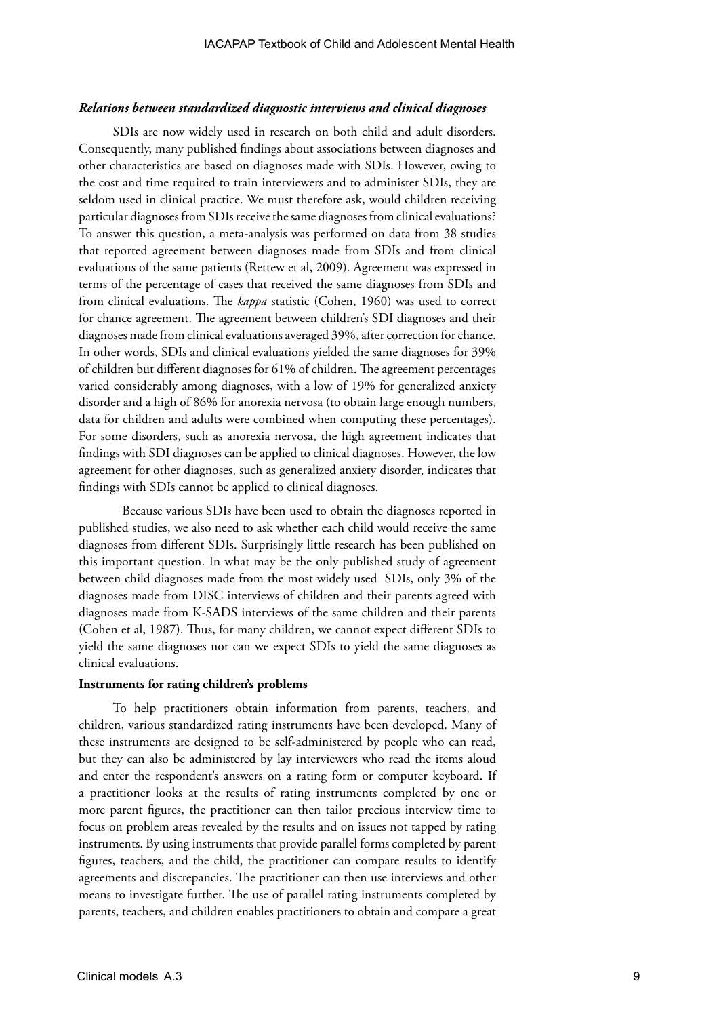#### *Relations between standardized diagnostic interviews and clinical diagnoses*

SDIs are now widely used in research on both child and adult disorders. Consequently, many published findings about associations between diagnoses and other characteristics are based on diagnoses made with SDIs. However, owing to the cost and time required to train interviewers and to administer SDIs, they are seldom used in clinical practice. We must therefore ask, would children receiving particular diagnoses from SDIs receive the same diagnoses from clinical evaluations? To answer this question, a meta-analysis was performed on data from 38 studies that reported agreement between diagnoses made from SDIs and from clinical evaluations of the same patients (Rettew et al, 2009). Agreement was expressed in terms of the percentage of cases that received the same diagnoses from SDIs and from clinical evaluations. The *kappa* statistic (Cohen, 1960) was used to correct for chance agreement. The agreement between children's SDI diagnoses and their diagnoses made from clinical evaluations averaged 39%, after correction for chance. In other words, SDIs and clinical evaluations yielded the same diagnoses for 39% of children but different diagnoses for 61% of children. The agreement percentages varied considerably among diagnoses, with a low of 19% for generalized anxiety disorder and a high of 86% for anorexia nervosa (to obtain large enough numbers, data for children and adults were combined when computing these percentages). For some disorders, such as anorexia nervosa, the high agreement indicates that findings with SDI diagnoses can be applied to clinical diagnoses. However, the low agreement for other diagnoses, such as generalized anxiety disorder, indicates that findings with SDIs cannot be applied to clinical diagnoses.

Because various SDIs have been used to obtain the diagnoses reported in published studies, we also need to ask whether each child would receive the same diagnoses from different SDIs. Surprisingly little research has been published on this important question. In what may be the only published study of agreement between child diagnoses made from the most widely used SDIs, only 3% of the diagnoses made from DISC interviews of children and their parents agreed with diagnoses made from K-SADS interviews of the same children and their parents (Cohen et al, 1987). Thus, for many children, we cannot expect different SDIs to yield the same diagnoses nor can we expect SDIs to yield the same diagnoses as clinical evaluations.

#### **Instruments for rating children's problems**

To help practitioners obtain information from parents, teachers, and children, various standardized rating instruments have been developed. Many of these instruments are designed to be self-administered by people who can read, but they can also be administered by lay interviewers who read the items aloud and enter the respondent's answers on a rating form or computer keyboard. If a practitioner looks at the results of rating instruments completed by one or more parent figures, the practitioner can then tailor precious interview time to focus on problem areas revealed by the results and on issues not tapped by rating instruments. By using instruments that provide parallel forms completed by parent figures, teachers, and the child, the practitioner can compare results to identify agreements and discrepancies. The practitioner can then use interviews and other means to investigate further. The use of parallel rating instruments completed by parents, teachers, and children enables practitioners to obtain and compare a great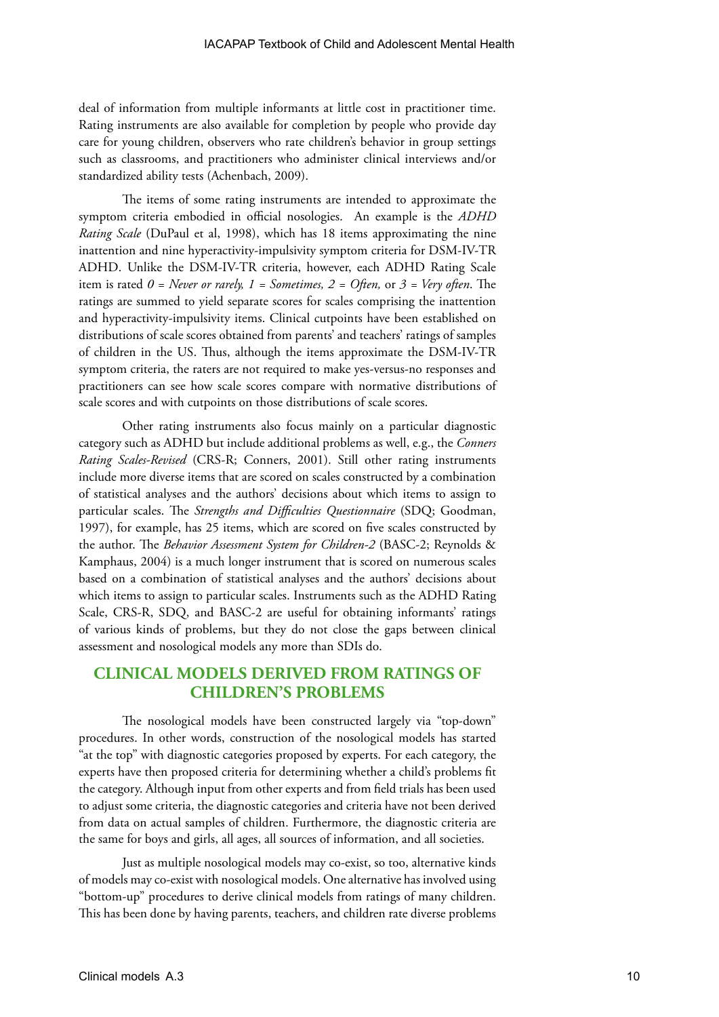deal of information from multiple informants at little cost in practitioner time. Rating instruments are also available for completion by people who provide day care for young children, observers who rate children's behavior in group settings such as classrooms, and practitioners who administer clinical interviews and/or standardized ability tests (Achenbach, 2009).

The items of some rating instruments are intended to approximate the symptom criteria embodied in official nosologies. An example is the *ADHD Rating Scale* (DuPaul et al, 1998), which has 18 items approximating the nine inattention and nine hyperactivity-impulsivity symptom criteria for DSM-IV-TR ADHD. Unlike the DSM-IV-TR criteria, however, each ADHD Rating Scale item is rated *0 = Never or rarely, 1 = Sometimes, 2 = Often,* or *3 = Very often*. The ratings are summed to yield separate scores for scales comprising the inattention and hyperactivity-impulsivity items. Clinical cutpoints have been established on distributions of scale scores obtained from parents' and teachers' ratings of samples of children in the US. Thus, although the items approximate the DSM-IV-TR symptom criteria, the raters are not required to make yes-versus-no responses and practitioners can see how scale scores compare with normative distributions of scale scores and with cutpoints on those distributions of scale scores.

Other rating instruments also focus mainly on a particular diagnostic category such as ADHD but include additional problems as well, e.g., the *Conners Rating Scales-Revised* (CRS-R; Conners, 2001). Still other rating instruments include more diverse items that are scored on scales constructed by a combination of statistical analyses and the authors' decisions about which items to assign to particular scales. The *Strengths and Difficulties Questionnaire* (SDQ; Goodman, 1997), for example, has 25 items, which are scored on five scales constructed by the author. The *Behavior Assessment System for Children-2* (BASC-2; Reynolds & Kamphaus, 2004) is a much longer instrument that is scored on numerous scales based on a combination of statistical analyses and the authors' decisions about which items to assign to particular scales. Instruments such as the ADHD Rating Scale, CRS-R, SDQ, and BASC-2 are useful for obtaining informants' ratings of various kinds of problems, but they do not close the gaps between clinical assessment and nosological models any more than SDIs do.

## **CLINICAL MODELS DERIVED FROM RATINGS OF CHILDREN'S PROBLEMS**

The nosological models have been constructed largely via "top-down" procedures. In other words, construction of the nosological models has started "at the top" with diagnostic categories proposed by experts. For each category, the experts have then proposed criteria for determining whether a child's problems fit the category. Although input from other experts and from field trials has been used to adjust some criteria, the diagnostic categories and criteria have not been derived from data on actual samples of children. Furthermore, the diagnostic criteria are the same for boys and girls, all ages, all sources of information, and all societies.

Just as multiple nosological models may co-exist, so too, alternative kinds of models may co-exist with nosological models. One alternative has involved using "bottom-up" procedures to derive clinical models from ratings of many children. This has been done by having parents, teachers, and children rate diverse problems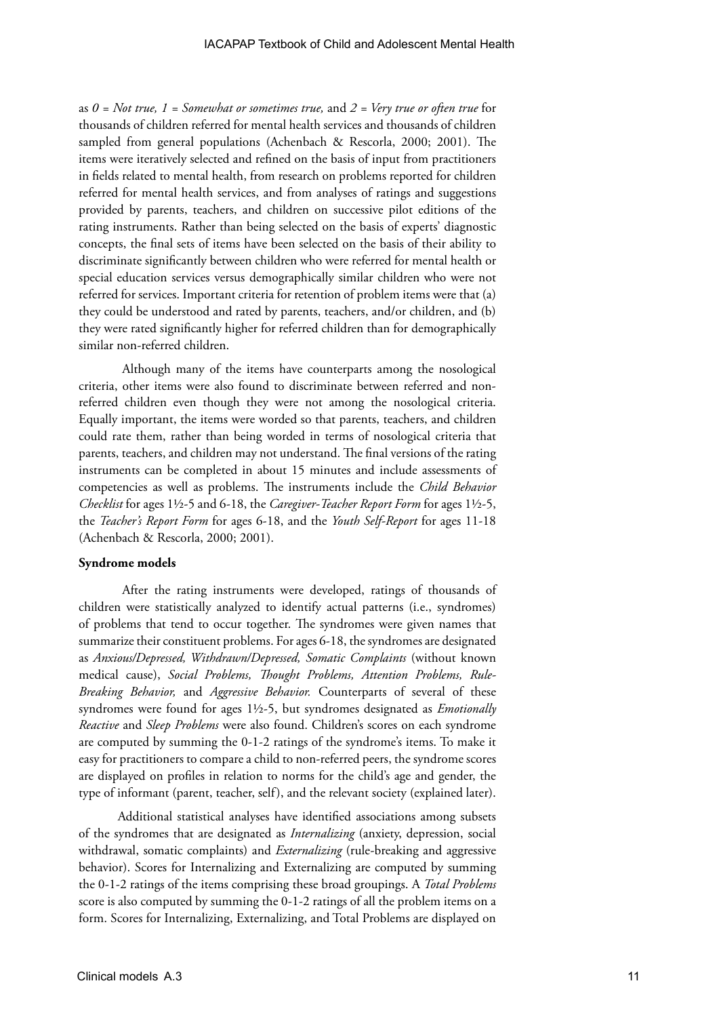as *0 = Not true, 1 = Somewhat or sometimes true,* and *2 = Very true or often true* for thousands of children referred for mental health services and thousands of children sampled from general populations (Achenbach & Rescorla, 2000; 2001). The items were iteratively selected and refined on the basis of input from practitioners in fields related to mental health, from research on problems reported for children referred for mental health services, and from analyses of ratings and suggestions provided by parents, teachers, and children on successive pilot editions of the rating instruments. Rather than being selected on the basis of experts' diagnostic concepts, the final sets of items have been selected on the basis of their ability to discriminate significantly between children who were referred for mental health or special education services versus demographically similar children who were not referred for services. Important criteria for retention of problem items were that (a) they could be understood and rated by parents, teachers, and/or children, and (b) they were rated significantly higher for referred children than for demographically similar non-referred children.

Although many of the items have counterparts among the nosological criteria, other items were also found to discriminate between referred and nonreferred children even though they were not among the nosological criteria. Equally important, the items were worded so that parents, teachers, and children could rate them, rather than being worded in terms of nosological criteria that parents, teachers, and children may not understand. The final versions of the rating instruments can be completed in about 15 minutes and include assessments of competencies as well as problems. The instruments include the *Child Behavior Checklist* for ages 1½-5 and 6-18, the *Caregiver-Teacher Report Form* for ages 1½-5, the *Teacher's Report Form* for ages 6-18, and the *Youth Self-Report* for ages 11-18 (Achenbach & Rescorla, 2000; 2001).

#### **Syndrome models**

After the rating instruments were developed, ratings of thousands of children were statistically analyzed to identify actual patterns (i.e., syndromes) of problems that tend to occur together. The syndromes were given names that summarize their constituent problems. For ages 6-18, the syndromes are designated as *Anxious/Depressed, Withdrawn/Depressed, Somatic Complaints* (without known medical cause), *Social Problems, Thought Problems, Attention Problems, Rule-Breaking Behavior,* and *Aggressive Behavior.* Counterparts of several of these syndromes were found for ages 1½-5, but syndromes designated as *Emotionally Reactive* and *Sleep Problems* were also found. Children's scores on each syndrome are computed by summing the 0-1-2 ratings of the syndrome's items. To make it easy for practitioners to compare a child to non-referred peers, the syndrome scores are displayed on profiles in relation to norms for the child's age and gender, the type of informant (parent, teacher, self), and the relevant society (explained later).

 Additional statistical analyses have identified associations among subsets of the syndromes that are designated as *Internalizing* (anxiety, depression, social withdrawal, somatic complaints) and *Externalizing* (rule-breaking and aggressive behavior). Scores for Internalizing and Externalizing are computed by summing the 0-1-2 ratings of the items comprising these broad groupings. A *Total Problems* score is also computed by summing the 0-1-2 ratings of all the problem items on a form. Scores for Internalizing, Externalizing, and Total Problems are displayed on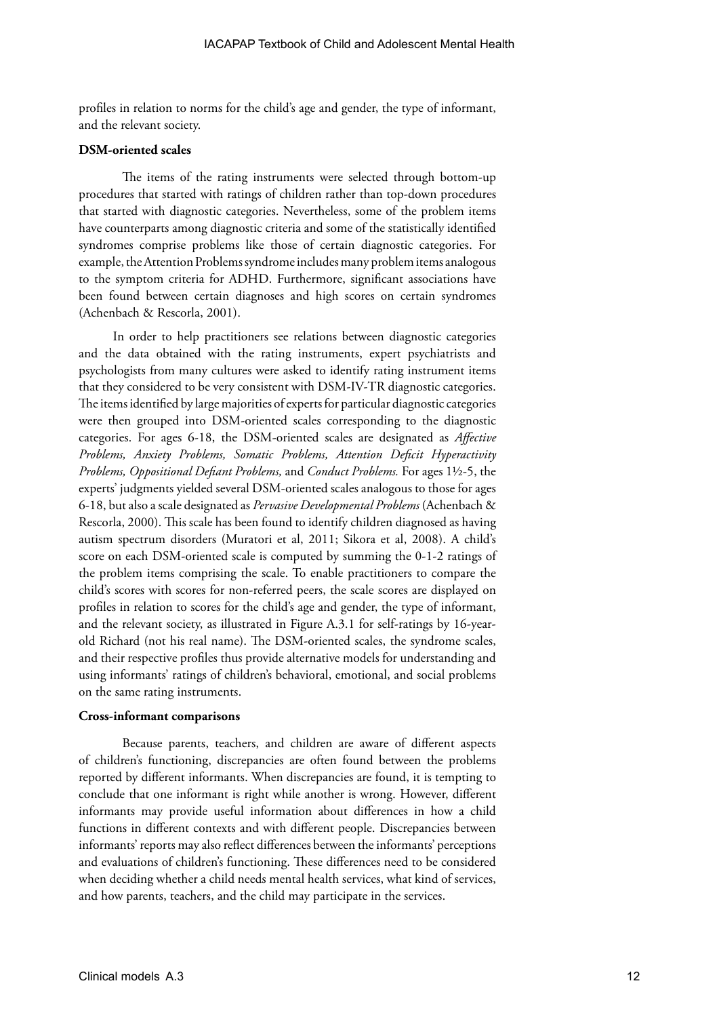profiles in relation to norms for the child's age and gender, the type of informant, and the relevant society.

#### **DSM-oriented scales**

The items of the rating instruments were selected through bottom-up procedures that started with ratings of children rather than top-down procedures that started with diagnostic categories. Nevertheless, some of the problem items have counterparts among diagnostic criteria and some of the statistically identified syndromes comprise problems like those of certain diagnostic categories. For example, the Attention Problems syndrome includes many problem items analogous to the symptom criteria for ADHD. Furthermore, significant associations have been found between certain diagnoses and high scores on certain syndromes (Achenbach & Rescorla, 2001).

In order to help practitioners see relations between diagnostic categories and the data obtained with the rating instruments, expert psychiatrists and psychologists from many cultures were asked to identify rating instrument items that they considered to be very consistent with DSM-IV-TR diagnostic categories. The items identified by large majorities of experts for particular diagnostic categories were then grouped into DSM-oriented scales corresponding to the diagnostic categories. For ages 6-18, the DSM-oriented scales are designated as *Affective Problems, Anxiety Problems, Somatic Problems, Attention Deficit Hyperactivity Problems, Oppositional Defiant Problems,* and *Conduct Problems.* For ages 1½-5, the experts' judgments yielded several DSM-oriented scales analogous to those for ages 6-18, but also a scale designated as *Pervasive Developmental Problems* (Achenbach & Rescorla, 2000). This scale has been found to identify children diagnosed as having autism spectrum disorders (Muratori et al, 2011; Sikora et al, 2008). A child's score on each DSM-oriented scale is computed by summing the 0-1-2 ratings of the problem items comprising the scale. To enable practitioners to compare the child's scores with scores for non-referred peers, the scale scores are displayed on profiles in relation to scores for the child's age and gender, the type of informant, and the relevant society, as illustrated in Figure A.3.1 for self-ratings by 16-yearold Richard (not his real name). The DSM-oriented scales, the syndrome scales, and their respective profiles thus provide alternative models for understanding and using informants' ratings of children's behavioral, emotional, and social problems on the same rating instruments.

#### **Cross-informant comparisons**

Because parents, teachers, and children are aware of different aspects of children's functioning, discrepancies are often found between the problems reported by different informants. When discrepancies are found, it is tempting to conclude that one informant is right while another is wrong. However, different informants may provide useful information about differences in how a child functions in different contexts and with different people. Discrepancies between informants' reports may also reflect differences between the informants' perceptions and evaluations of children's functioning. These differences need to be considered when deciding whether a child needs mental health services, what kind of services, and how parents, teachers, and the child may participate in the services.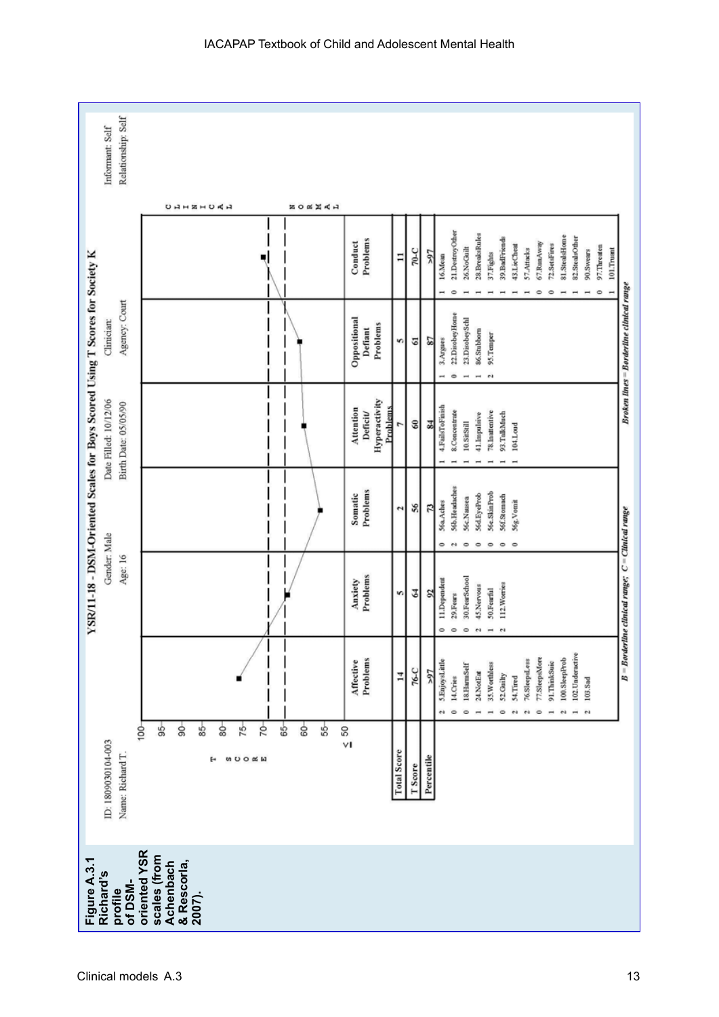| Relationship: Self<br>Informant: Self                                                                                         |                                                           |                |                                                   |                    |                       |                                                                         |                                                                                |                                                                                                                                           |                                                          |
|-------------------------------------------------------------------------------------------------------------------------------|-----------------------------------------------------------|----------------|---------------------------------------------------|--------------------|-----------------------|-------------------------------------------------------------------------|--------------------------------------------------------------------------------|-------------------------------------------------------------------------------------------------------------------------------------------|----------------------------------------------------------|
|                                                                                                                               | <b>UAHZHUAA</b>                                           | <b>NAXAO N</b> |                                                   |                    |                       |                                                                         |                                                                                |                                                                                                                                           |                                                          |
|                                                                                                                               |                                                           |                | Problems<br>Conduct                               | Ξ                  | $2-0$<br>র            | 21.DestroyOther<br>26.NoGuilt<br>16.Mean                                | 28.BreaksRules<br>39.BadFriends<br>37.Fights                                   | 81.StealsHome<br>67.RunAway<br>72.SetsFires<br>43.LieCheat<br>57.Attacks                                                                  | 82.StealsOther<br>97.Threaten<br>101.Trusnt<br>90.Swears |
| Agency: Court<br>Clinician:                                                                                                   |                                                           |                | Oppositional<br>Problems<br>Defiant               | s                  | G<br>28               | 22.DisobeyHome<br>23.DisobeySchl<br>3.Argues<br>$\Rightarrow$           | 86.Stubborn<br>95.Temper<br>$\mathfrak{S}$                                     |                                                                                                                                           | <b>Broken lines = Borderline clinical range</b>          |
| YSR/11-18 - DSM-Oriented Scales for Boys Scored Using T Scores for Society K<br>Date Filled: 10/12/06<br>Birth Date: 05/05/90 |                                                           |                | Hyperactivity<br>Attention<br>Problems<br>Deficit |                    | $\mathbb S$<br>34     | 4.FailsToFinish<br>8.Concentrate<br>10.SitStill                         | 78. Inuttentive<br>93.TalkMuch<br>41.Impulsive                                 | 104.Loud                                                                                                                                  |                                                          |
|                                                                                                                               |                                                           |                | Problems<br>Somatic                               | 2                  | 9S<br>73              | 56b. Headaches<br>56c.Nausea<br>56a.Aches<br>$\circ$<br>0<br>$\ddot{ }$ | 56e.SkinProb<br>S6d.EyeProb<br>56f.Stomach<br>۰<br>$\circ$<br>۰                | 56g. Vomit<br>$\circ$                                                                                                                     |                                                          |
| Gender: Male<br>Age: 16                                                                                                       |                                                           |                | Problems<br>Anxiety                               | S                  | 3<br>$\overline{2}$   | 30.FearSchool<br>11.Dependent<br>29.Fears<br>$\circ$<br>۰<br>$\circ$    | 112. Worries<br>45.Nervous<br>50.Fearful<br>$^{4}$<br>$^{4}$<br>$\rightarrow$  |                                                                                                                                           | $B = B$ orderline clinical range; $C =$ Clinical range   |
|                                                                                                                               |                                                           |                | Problems<br>Affective                             | $\overline{1}$     | 76-C<br>76<           | 5.EnjoysLittle<br>18.HarmSelf<br>14.Cries<br>$\circ$<br>$\circ$         | 35. Worthless<br>24.NotEat<br>52 Guilty<br>$\circ$<br>$\overline{\phantom{a}}$ | 77.SleepsMore<br>100.SleepProb<br>76.SleepsLess<br>91.ThinkSuic<br>54.Tired<br>r <sub>0</sub><br>$\overline{\mathbf{c}}$<br>$\circ$<br>e4 | 102. Underactive<br>$103.8$ ad<br>÷<br>$^{4}$            |
| $100 -$<br>ID: 1809030104-003<br>Name: Richard T                                                                              | \$<br>ട്<br>75<br>20<br>s<br>80<br>8<br><b>WDOOW</b><br>н | 8<br>\$<br>\$  | $\frac{60}{10}$                                   | <b>Total Score</b> | Percentile<br>T Score |                                                                         |                                                                                |                                                                                                                                           |                                                          |
| oriented YSR<br>scales (from<br>Figure A.3.1<br>Achenbach<br>& Rescorla,<br>Richard's<br>of DSM-<br>profile<br>2007).         |                                                           |                |                                                   |                    |                       |                                                                         |                                                                                |                                                                                                                                           |                                                          |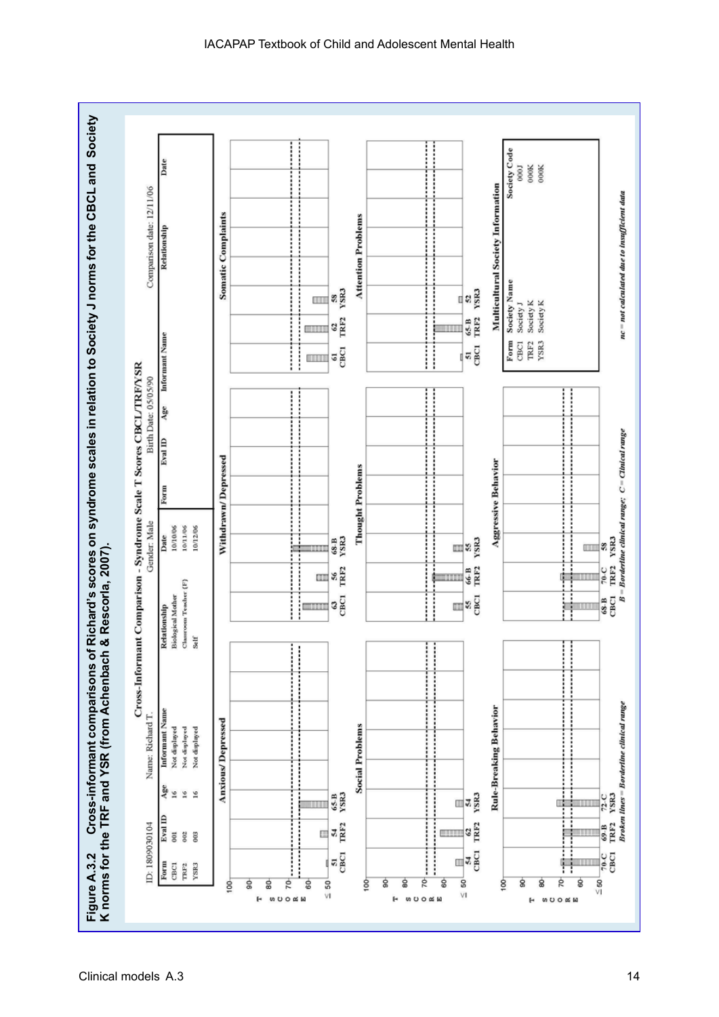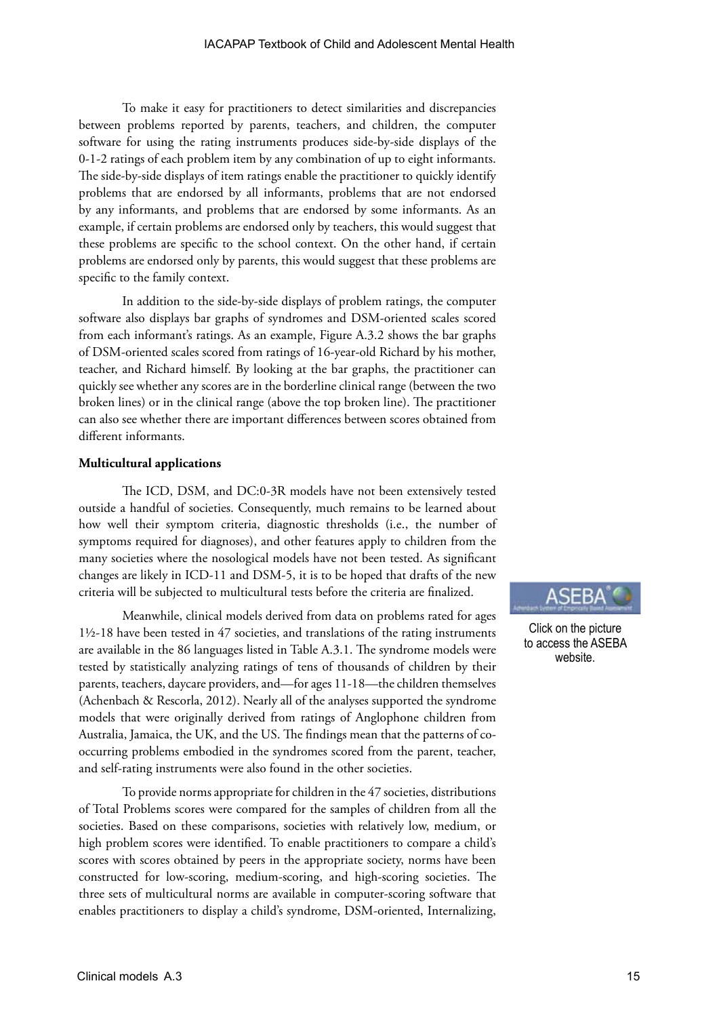To make it easy for practitioners to detect similarities and discrepancies between problems reported by parents, teachers, and children, the computer software for using the rating instruments produces side-by-side displays of the 0-1-2 ratings of each problem item by any combination of up to eight informants. The side-by-side displays of item ratings enable the practitioner to quickly identify problems that are endorsed by all informants, problems that are not endorsed by any informants, and problems that are endorsed by some informants. As an example, if certain problems are endorsed only by teachers, this would suggest that these problems are specific to the school context. On the other hand, if certain problems are endorsed only by parents, this would suggest that these problems are specific to the family context.

In addition to the side-by-side displays of problem ratings, the computer software also displays bar graphs of syndromes and DSM-oriented scales scored from each informant's ratings. As an example, Figure A.3.2 shows the bar graphs of DSM-oriented scales scored from ratings of 16-year-old Richard by his mother, teacher, and Richard himself. By looking at the bar graphs, the practitioner can quickly see whether any scores are in the borderline clinical range (between the two broken lines) or in the clinical range (above the top broken line). The practitioner can also see whether there are important differences between scores obtained from different informants.

#### **Multicultural applications**

The ICD, DSM, and DC:0-3R models have not been extensively tested outside a handful of societies. Consequently, much remains to be learned about how well their symptom criteria, diagnostic thresholds (i.e., the number of symptoms required for diagnoses), and other features apply to children from the many societies where the nosological models have not been tested. As significant changes are likely in ICD-11 and DSM-5, it is to be hoped that drafts of the new criteria will be subjected to multicultural tests before the criteria are finalized.

Meanwhile, clinical models derived from data on problems rated for ages 1½-18 have been tested in 47 societies, and translations of the rating instruments are available in the 86 languages listed in Table A.3.1. The syndrome models were tested by statistically analyzing ratings of tens of thousands of children by their parents, teachers, daycare providers, and—for ages 11-18—the children themselves (Achenbach & Rescorla, 2012). Nearly all of the analyses supported the syndrome models that were originally derived from ratings of Anglophone children from Australia, Jamaica, the UK, and the US. The findings mean that the patterns of cooccurring problems embodied in the syndromes scored from the parent, teacher, and self-rating instruments were also found in the other societies.

To provide norms appropriate for children in the 47 societies, distributions of Total Problems scores were compared for the samples of children from all the societies. Based on these comparisons, societies with relatively low, medium, or high problem scores were identified. To enable practitioners to compare a child's scores with scores obtained by peers in the appropriate society, norms have been constructed for low-scoring, medium-scoring, and high-scoring societies. The three sets of multicultural norms are available in computer-scoring software that enables practitioners to display a child's syndrome, DSM-oriented, Internalizing,



Click on the picture to access the ASEBA website.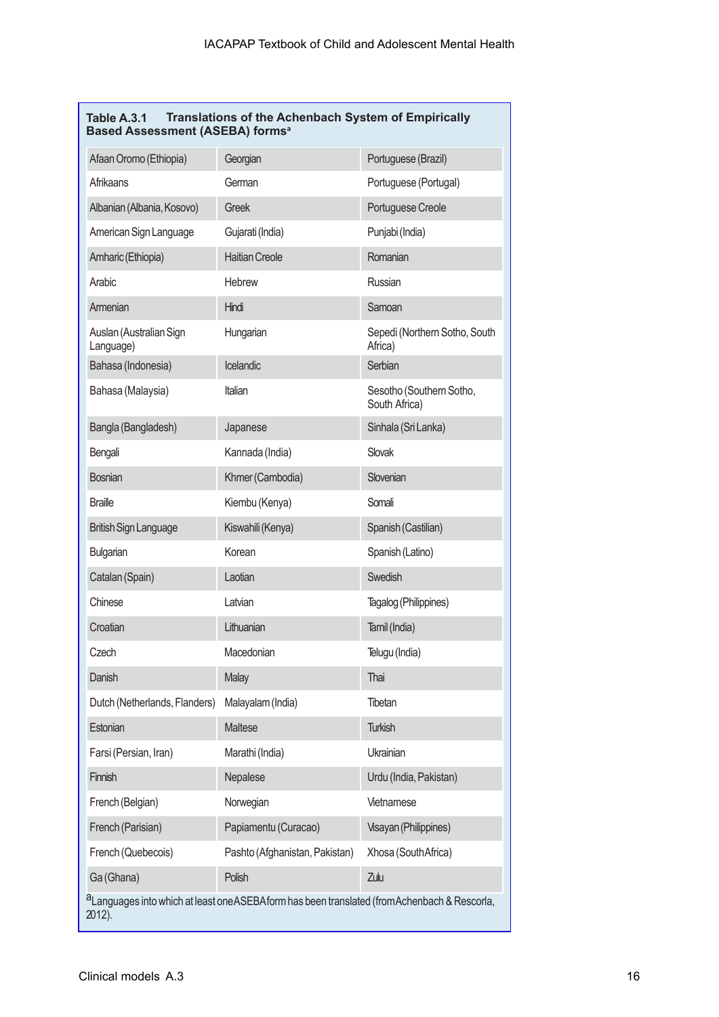| Table A.3.1 | Translations of the Achenbach System of Empirically |
|-------------|-----------------------------------------------------|
|             | <b>Based Assessment (ASEBA) forms<sup>a</sup></b>   |

| Afaan Oromo (Ethiopia)                                                                                              | Georgian                       | Portuguese (Brazil)                       |  |  |  |  |
|---------------------------------------------------------------------------------------------------------------------|--------------------------------|-------------------------------------------|--|--|--|--|
| Afrikaans                                                                                                           | German                         | Portuguese (Portugal)                     |  |  |  |  |
| Albanian (Albania, Kosovo)                                                                                          | Greek                          | Portuguese Creole                         |  |  |  |  |
| American Sign Language                                                                                              | Gujarati (India)               | Punjabi (India)                           |  |  |  |  |
| Amharic (Ethiopia)                                                                                                  | <b>Haitian Creole</b>          | Romanian                                  |  |  |  |  |
| Arabic                                                                                                              | <b>Hebrew</b>                  | Russian                                   |  |  |  |  |
| Armenian                                                                                                            | Hindi                          | Samoan                                    |  |  |  |  |
| Auslan (Australian Sign<br>Language)                                                                                | Hungarian                      | Sepedi (Northern Sotho, South<br>Africa)  |  |  |  |  |
| Icelandic<br>Bahasa (Indonesia)                                                                                     |                                | Serbian                                   |  |  |  |  |
| Bahasa (Malaysia)                                                                                                   | Italian                        | Sesotho (Southern Sotho,<br>South Africa) |  |  |  |  |
| Bangla (Bangladesh)                                                                                                 | Japanese                       | Sinhala (Sri Lanka)                       |  |  |  |  |
| Bengali                                                                                                             | Kannada (India)                | Slovak                                    |  |  |  |  |
| <b>Bosnian</b>                                                                                                      | Khmer (Cambodia)               | Slovenian                                 |  |  |  |  |
| <b>Braille</b>                                                                                                      | Kiembu (Kenya)                 | Somali                                    |  |  |  |  |
| <b>British Sign Language</b>                                                                                        | Kiswahili (Kenya)              | Spanish (Castilian)                       |  |  |  |  |
| Bulgarian                                                                                                           | Korean                         | Spanish (Latino)                          |  |  |  |  |
| Catalan (Spain)                                                                                                     | Laotian                        | Swedish                                   |  |  |  |  |
| Chinese                                                                                                             | Latvian                        | Tagalog (Philippines)                     |  |  |  |  |
| Croatian                                                                                                            | Lithuanian                     | Tamil (India)                             |  |  |  |  |
| Czech                                                                                                               | Macedonian                     | Telugu (India)                            |  |  |  |  |
| Danish                                                                                                              | Malay                          | Thai                                      |  |  |  |  |
| Dutch (Netherlands, Flanders)                                                                                       | Malayalam (India)              | Tibetan                                   |  |  |  |  |
| Estonian                                                                                                            | Maltese                        | <b>Turkish</b>                            |  |  |  |  |
| Farsi (Persian, Iran)                                                                                               | Marathi (India)                | Ukrainian                                 |  |  |  |  |
| Finnish                                                                                                             | Nepalese                       | Urdu (India, Pakistan)                    |  |  |  |  |
| French (Belgian)                                                                                                    | Norwegian                      | Vietnamese                                |  |  |  |  |
| French (Parisian)                                                                                                   | Papiamentu (Curacao)           | Visayan (Philippines)                     |  |  |  |  |
| French (Quebecois)                                                                                                  | Pashto (Afghanistan, Pakistan) | Xhosa (South Africa)                      |  |  |  |  |
| Ga (Ghana)                                                                                                          | Polish                         | Zulu                                      |  |  |  |  |
| <sup>a</sup> Languages into which at least one ASEBA form has been translated (from Achenbach & Rescorla,<br>2012). |                                |                                           |  |  |  |  |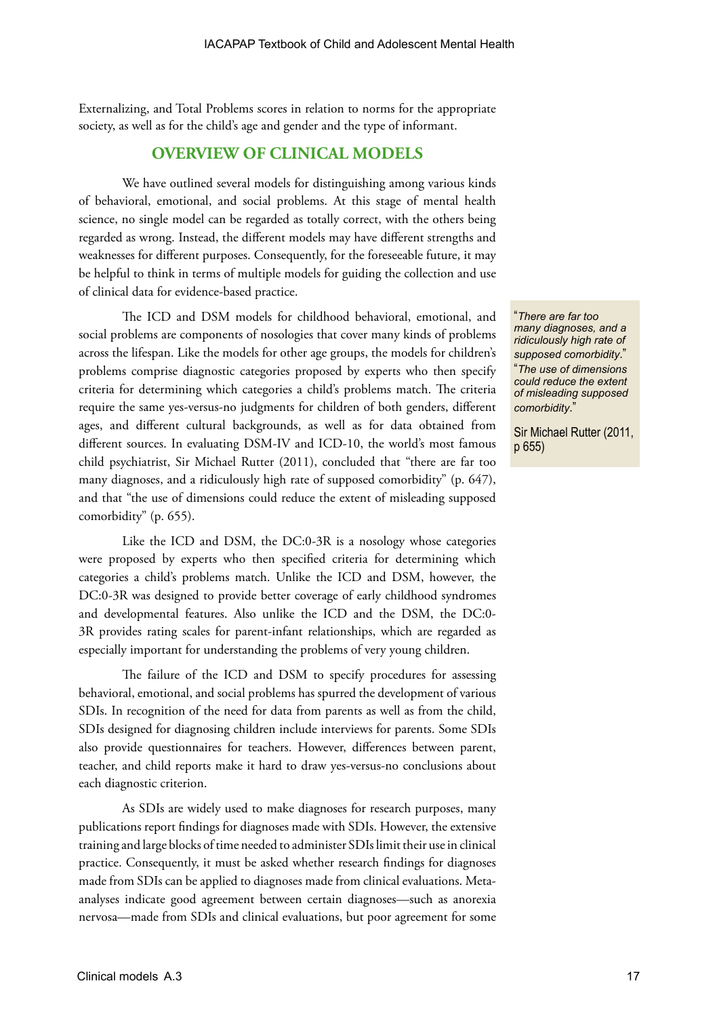Externalizing, and Total Problems scores in relation to norms for the appropriate society, as well as for the child's age and gender and the type of informant.

## **OVERVIEW OF CLINICAL MODELS**

We have outlined several models for distinguishing among various kinds of behavioral, emotional, and social problems. At this stage of mental health science, no single model can be regarded as totally correct, with the others being regarded as wrong. Instead, the different models may have different strengths and weaknesses for different purposes. Consequently, for the foreseeable future, it may be helpful to think in terms of multiple models for guiding the collection and use of clinical data for evidence-based practice.

The ICD and DSM models for childhood behavioral, emotional, and social problems are components of nosologies that cover many kinds of problems across the lifespan. Like the models for other age groups, the models for children's problems comprise diagnostic categories proposed by experts who then specify criteria for determining which categories a child's problems match. The criteria require the same yes-versus-no judgments for children of both genders, different ages, and different cultural backgrounds, as well as for data obtained from different sources. In evaluating DSM-IV and ICD-10, the world's most famous child psychiatrist, Sir Michael Rutter (2011), concluded that "there are far too many diagnoses, and a ridiculously high rate of supposed comorbidity" (p. 647), and that "the use of dimensions could reduce the extent of misleading supposed comorbidity" (p. 655).

Like the ICD and DSM, the DC:0-3R is a nosology whose categories were proposed by experts who then specified criteria for determining which categories a child's problems match. Unlike the ICD and DSM, however, the DC:0-3R was designed to provide better coverage of early childhood syndromes and developmental features. Also unlike the ICD and the DSM, the DC:0- 3R provides rating scales for parent-infant relationships, which are regarded as especially important for understanding the problems of very young children.

The failure of the ICD and DSM to specify procedures for assessing behavioral, emotional, and social problems has spurred the development of various SDIs. In recognition of the need for data from parents as well as from the child, SDIs designed for diagnosing children include interviews for parents. Some SDIs also provide questionnaires for teachers. However, differences between parent, teacher, and child reports make it hard to draw yes-versus-no conclusions about each diagnostic criterion.

As SDIs are widely used to make diagnoses for research purposes, many publications report findings for diagnoses made with SDIs. However, the extensive training and large blocks of time needed to administer SDIs limit their use in clinical practice. Consequently, it must be asked whether research findings for diagnoses made from SDIs can be applied to diagnoses made from clinical evaluations. Metaanalyses indicate good agreement between certain diagnoses—such as anorexia nervosa—made from SDIs and clinical evaluations, but poor agreement for some

"*There are far too many diagnoses, and a ridiculously high rate of supposed comorbidity*." "*The use of dimensions could reduce the extent of misleading supposed comorbidity*."

Sir Michael Rutter (2011, p 655)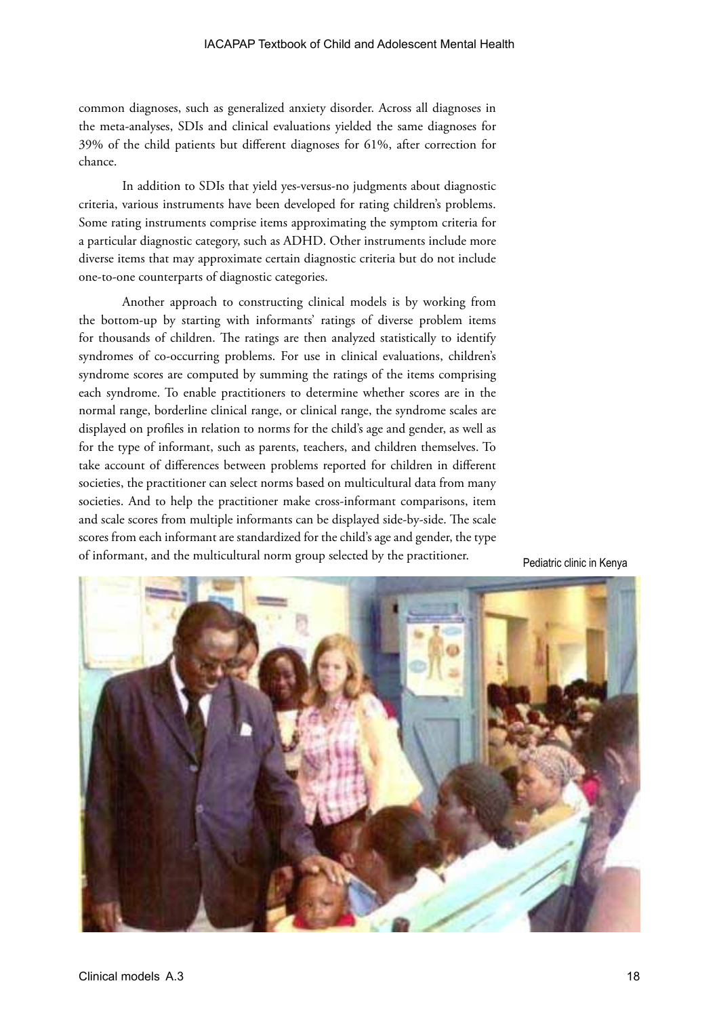common diagnoses, such as generalized anxiety disorder. Across all diagnoses in the meta-analyses, SDIs and clinical evaluations yielded the same diagnoses for 39% of the child patients but different diagnoses for 61%, after correction for chance.

In addition to SDIs that yield yes-versus-no judgments about diagnostic criteria, various instruments have been developed for rating children's problems. Some rating instruments comprise items approximating the symptom criteria for a particular diagnostic category, such as ADHD. Other instruments include more diverse items that may approximate certain diagnostic criteria but do not include one-to-one counterparts of diagnostic categories.

Another approach to constructing clinical models is by working from the bottom-up by starting with informants' ratings of diverse problem items for thousands of children. The ratings are then analyzed statistically to identify syndromes of co-occurring problems. For use in clinical evaluations, children's syndrome scores are computed by summing the ratings of the items comprising each syndrome. To enable practitioners to determine whether scores are in the normal range, borderline clinical range, or clinical range, the syndrome scales are displayed on profiles in relation to norms for the child's age and gender, as well as for the type of informant, such as parents, teachers, and children themselves. To take account of differences between problems reported for children in different societies, the practitioner can select norms based on multicultural data from many societies. And to help the practitioner make cross-informant comparisons, item and scale scores from multiple informants can be displayed side-by-side. The scale scores from each informant are standardized for the child's age and gender, the type of informant, and the multicultural norm group selected by the practitioner. Pediatric clinic in Kenya

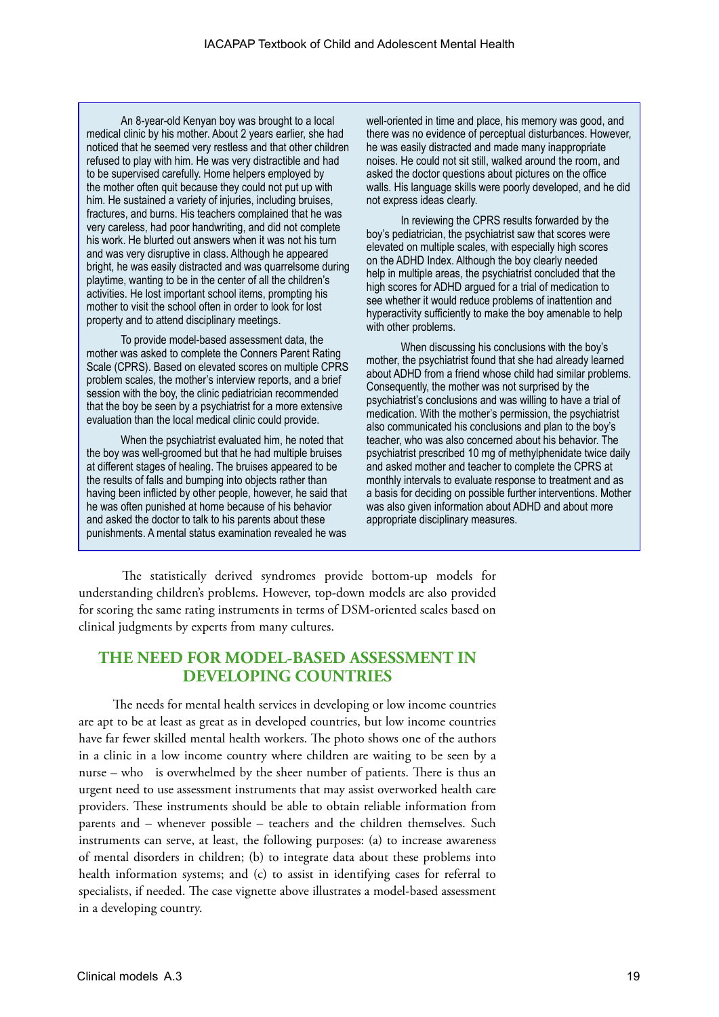An 8-year-old Kenyan boy was brought to a local medical clinic by his mother. About 2 years earlier, she had noticed that he seemed very restless and that other children refused to play with him. He was very distractible and had to be supervised carefully. Home helpers employed by the mother often quit because they could not put up with him. He sustained a variety of injuries, including bruises, fractures, and burns. His teachers complained that he was very careless, had poor handwriting, and did not complete his work. He blurted out answers when it was not his turn and was very disruptive in class. Although he appeared bright, he was easily distracted and was quarrelsome during playtime, wanting to be in the center of all the children's activities. He lost important school items, prompting his mother to visit the school often in order to look for lost property and to attend disciplinary meetings.

To provide model-based assessment data, the mother was asked to complete the Conners Parent Rating Scale (CPRS). Based on elevated scores on multiple CPRS problem scales, the mother's interview reports, and a brief session with the boy, the clinic pediatrician recommended that the boy be seen by a psychiatrist for a more extensive evaluation than the local medical clinic could provide.

When the psychiatrist evaluated him, he noted that the boy was well-groomed but that he had multiple bruises at different stages of healing. The bruises appeared to be the results of falls and bumping into objects rather than having been inflicted by other people, however, he said that he was often punished at home because of his behavior and asked the doctor to talk to his parents about these punishments. A mental status examination revealed he was

well-oriented in time and place, his memory was good, and there was no evidence of perceptual disturbances. However, he was easily distracted and made many inappropriate noises. He could not sit still, walked around the room, and asked the doctor questions about pictures on the office walls. His language skills were poorly developed, and he did not express ideas clearly.

In reviewing the CPRS results forwarded by the boy's pediatrician, the psychiatrist saw that scores were elevated on multiple scales, with especially high scores on the ADHD Index. Although the boy clearly needed help in multiple areas, the psychiatrist concluded that the high scores for ADHD argued for a trial of medication to see whether it would reduce problems of inattention and hyperactivity sufficiently to make the boy amenable to help with other problems.

When discussing his conclusions with the boy's mother, the psychiatrist found that she had already learned about ADHD from a friend whose child had similar problems. Consequently, the mother was not surprised by the psychiatrist's conclusions and was willing to have a trial of medication. With the mother's permission, the psychiatrist also communicated his conclusions and plan to the boy's teacher, who was also concerned about his behavior. The psychiatrist prescribed 10 mg of methylphenidate twice daily and asked mother and teacher to complete the CPRS at monthly intervals to evaluate response to treatment and as a basis for deciding on possible further interventions. Mother was also given information about ADHD and about more appropriate disciplinary measures.

The statistically derived syndromes provide bottom-up models for understanding children's problems. However, top-down models are also provided for scoring the same rating instruments in terms of DSM-oriented scales based on clinical judgments by experts from many cultures.

## **THE NEED FOR MODEL-BASED ASSESSMENT IN DEVELOPING COUNTRIES**

The needs for mental health services in developing or low income countries are apt to be at least as great as in developed countries, but low income countries have far fewer skilled mental health workers. The photo shows one of the authors in a clinic in a low income country where children are waiting to be seen by a nurse – who is overwhelmed by the sheer number of patients. There is thus an urgent need to use assessment instruments that may assist overworked health care providers. These instruments should be able to obtain reliable information from parents and – whenever possible – teachers and the children themselves. Such instruments can serve, at least, the following purposes: (a) to increase awareness of mental disorders in children; (b) to integrate data about these problems into health information systems; and (c) to assist in identifying cases for referral to specialists, if needed. The case vignette above illustrates a model-based assessment in a developing country.